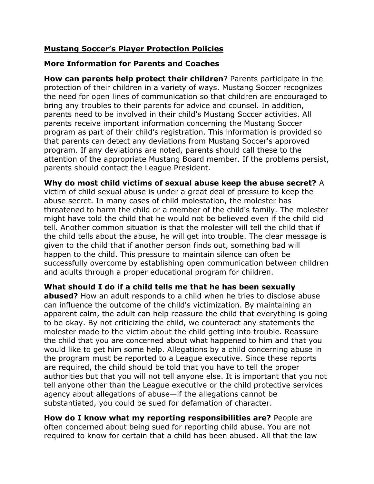# **Mustang Soccer's Player Protection Policies**

### **More Information for Parents and Coaches**

**How can parents help protect their children**? Parents participate in the protection of their children in a variety of ways. Mustang Soccer recognizes the need for open lines of communication so that children are encouraged to bring any troubles to their parents for advice and counsel. In addition, parents need to be involved in their child's Mustang Soccer activities. All parents receive important information concerning the Mustang Soccer program as part of their child's registration. This information is provided so that parents can detect any deviations from Mustang Soccer's approved program. If any deviations are noted, parents should call these to the attention of the appropriate Mustang Board member. If the problems persist, parents should contact the League President.

**Why do most child victims of sexual abuse keep the abuse secret?** A victim of child sexual abuse is under a great deal of pressure to keep the abuse secret. In many cases of child molestation, the molester has threatened to harm the child or a member of the child's family. The molester might have told the child that he would not be believed even if the child did tell. Another common situation is that the molester will tell the child that if the child tells about the abuse, he will get into trouble. The clear message is given to the child that if another person finds out, something bad will happen to the child. This pressure to maintain silence can often be successfully overcome by establishing open communication between children and adults through a proper educational program for children.

**What should I do if a child tells me that he has been sexually** 

**abused?** How an adult responds to a child when he tries to disclose abuse can influence the outcome of the child's victimization. By maintaining an apparent calm, the adult can help reassure the child that everything is going to be okay. By not criticizing the child, we counteract any statements the molester made to the victim about the child getting into trouble. Reassure the child that you are concerned about what happened to him and that you would like to get him some help. Allegations by a child concerning abuse in the program must be reported to a League executive. Since these reports are required, the child should be told that you have to tell the proper authorities but that you will not tell anyone else. It is important that you not tell anyone other than the League executive or the child protective services agency about allegations of abuse—if the allegations cannot be substantiated, you could be sued for defamation of character.

**How do I know what my reporting responsibilities are?** People are often concerned about being sued for reporting child abuse. You are not required to know for certain that a child has been abused. All that the law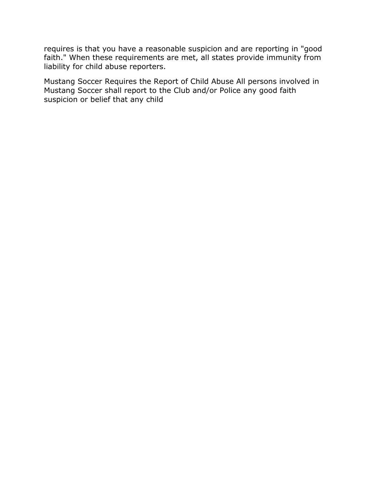requires is that you have a reasonable suspicion and are reporting in "good faith." When these requirements are met, all states provide immunity from liability for child abuse reporters.

Mustang Soccer Requires the Report of Child Abuse All persons involved in Mustang Soccer shall report to the Club and/or Police any good faith suspicion or belief that any child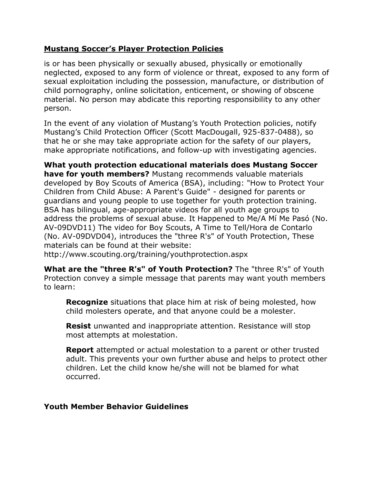### **Mustang Soccer's Player Protection Policies**

is or has been physically or sexually abused, physically or emotionally neglected, exposed to any form of violence or threat, exposed to any form of sexual exploitation including the possession, manufacture, or distribution of child pornography, online solicitation, enticement, or showing of obscene material. No person may abdicate this reporting responsibility to any other person.

In the event of any violation of Mustang's Youth Protection policies, notify Mustang's Child Protection Officer (Scott MacDougall, 925-837-0488), so that he or she may take appropriate action for the safety of our players, make appropriate notifications, and follow-up with investigating agencies.

**What youth protection educational materials does Mustang Soccer have for youth members?** Mustang recommends valuable materials developed by Boy Scouts of America (BSA), including: "How to Protect Your Children from Child Abuse: A Parent's Guide" - designed for parents or guardians and young people to use together for youth protection training. BSA has bilingual, age-appropriate videos for all youth age groups to address the problems of sexual abuse. It Happened to Me/A Mí Me Pasó (No. AV-09DVD11) The video for Boy Scouts, A Time to Tell/Hora de Contarlo (No. AV-09DVD04), introduces the "three R's" of Youth Protection, These materials can be found at their website:

http://www.scouting.org/training/youthprotection.aspx

**What are the "three R's" of Youth Protection?** The "three R's" of Youth Protection convey a simple message that parents may want youth members to learn:

**Recognize** situations that place him at risk of being molested, how child molesters operate, and that anyone could be a molester.

**Resist** unwanted and inappropriate attention. Resistance will stop most attempts at molestation.

**Report** attempted or actual molestation to a parent or other trusted adult. This prevents your own further abuse and helps to protect other children. Let the child know he/she will not be blamed for what occurred.

#### **Youth Member Behavior Guidelines**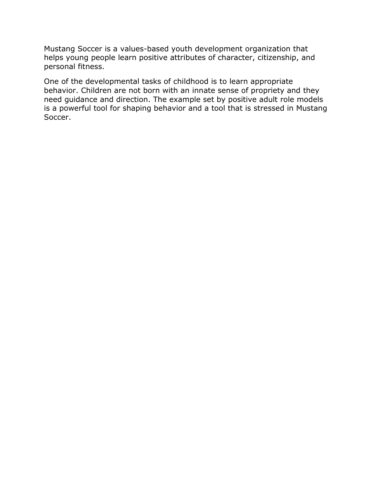Mustang Soccer is a values-based youth development organization that helps young people learn positive attributes of character, citizenship, and personal fitness.

One of the developmental tasks of childhood is to learn appropriate behavior. Children are not born with an innate sense of propriety and they need guidance and direction. The example set by positive adult role models is a powerful tool for shaping behavior and a tool that is stressed in Mustang Soccer.